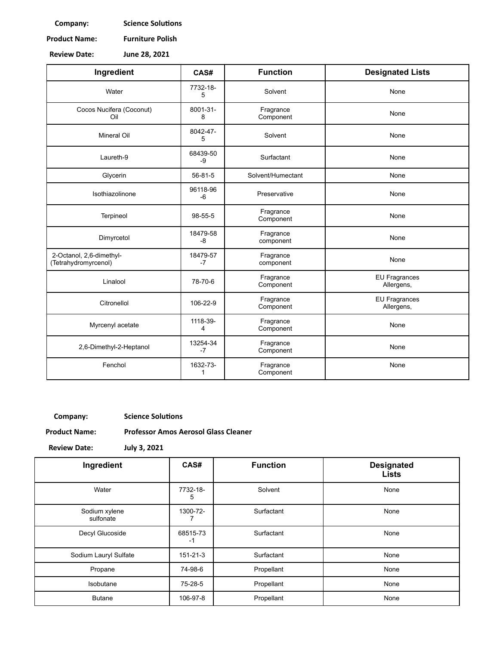**Company: Science Solutions** 

**Product Name: Furniture Polish**

**Review Date: June 28, 2021**

| Ingredient                                       | CAS#             | <b>Function</b>        | <b>Designated Lists</b>            |
|--------------------------------------------------|------------------|------------------------|------------------------------------|
| Water                                            | 7732-18-<br>5    | Solvent                | None                               |
| Cocos Nucifera (Coconut)<br>Oil                  | 8001-31-<br>8    | Fragrance<br>Component | None                               |
| <b>Mineral Oil</b>                               | 8042-47-<br>5    | Solvent                | None                               |
| Laureth-9                                        | 68439-50<br>-9   | Surfactant             | None                               |
| Glycerin                                         | 56-81-5          | Solvent/Humectant      | None                               |
| Isothiazolinone                                  | 96118-96<br>$-6$ | Preservative           | None                               |
| Terpineol                                        | 98-55-5          | Fragrance<br>Component | None                               |
| Dimyrcetol                                       | 18479-58<br>$-8$ | Fragrance<br>component | None                               |
| 2-Octanol, 2,6-dimethyl-<br>(Tetrahydromyrcenol) | 18479-57<br>$-7$ | Fragrance<br>component | None                               |
| Linalool                                         | 78-70-6          | Fragrance<br>Component | <b>EU Fragrances</b><br>Allergens, |
| Citronellol                                      | 106-22-9         | Fragrance<br>Component | <b>EU Fragrances</b><br>Allergens, |
| Myrcenyl acetate                                 | 1118-39-<br>4    | Fragrance<br>Component | None                               |
| 2,6-Dimethyl-2-Heptanol                          | 13254-34<br>$-7$ | Fragrance<br>Component | None                               |
| Fenchol                                          | 1632-73-<br>1    | Fragrance<br>Component | None                               |

**Company: Science Solutions** 

**Product Name: Professor Amos Aerosol Glass Cleaner**

**Review Date: July 3, 2021**

| Ingredient                 | CAS#           | <b>Function</b> | <b>Designated</b><br><b>Lists</b> |
|----------------------------|----------------|-----------------|-----------------------------------|
| Water                      | 7732-18-<br>5  | Solvent         | None                              |
| Sodium xylene<br>sulfonate | 1300-72-       | Surfactant      | None                              |
| Decyl Glucoside            | 68515-73<br>-1 | Surfactant      | None                              |
| Sodium Lauryl Sulfate      | 151-21-3       | Surfactant      | None                              |
| Propane                    | 74-98-6        | Propellant      | None                              |
| Isobutane                  | 75-28-5        | Propellant      | None                              |
| <b>Butane</b>              | 106-97-8       | Propellant      | None                              |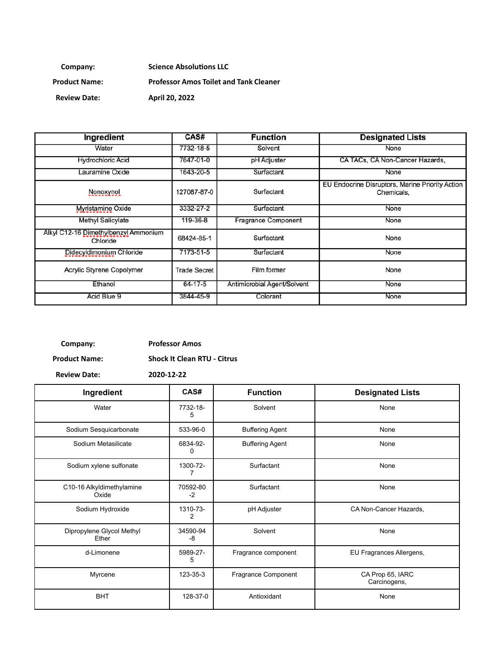**Company: Science Absolutions LLC** 

**Product Name: Professor Amos Toilet and Tank Cleaner** 

**Review Date: April 20, 2022**

| Ingredient                                       | CAS#                | <b>Function</b>             | <b>Designated Lists</b>                                       |
|--------------------------------------------------|---------------------|-----------------------------|---------------------------------------------------------------|
| Water                                            | 7732-18-5           | Solvent                     | None                                                          |
| <b>Hydrochloric Acid</b>                         | 7647-01-0           | pH Adjuster                 | CA TACs, CA Non-Cancer Hazards,                               |
| Lauramine Oxide                                  | 1643-20-5           | Surfactant                  | None                                                          |
| Nonoxynol                                        | 127087-87-0         | Surfactant                  | EU Endocrine Disruptors, Marine Priority Action<br>Chemicals, |
| Myristamine Oxide                                | 3332-27-2           | Surfactant                  | None                                                          |
| Methyl Salicylate                                | 119-36-8            | Fragrance Component         | None                                                          |
| Alkyl C12-16 Dimethylbenzyl Ammonium<br>Chloride | 68424-85-1          | Surfactant                  | None                                                          |
| Didecyldimonium Chloride                         | 7173-51-5           | Surfactant                  | None                                                          |
| <b>Acrylic Styrene Copolymer</b>                 | <b>Trade Secret</b> | Film former                 | None                                                          |
| Ethanol                                          | 64-17-5             | Antimicrobial Agent/Solvent | None                                                          |
| Acid Blue 9                                      | 3844-45-9           | Colorant                    | None                                                          |

# **Company: Professor Amos**

**Product Name: Shock It Clean RTU - Citrus**

| Ingredient                         | CAS#                       | <b>Function</b>        | <b>Designated Lists</b>          |
|------------------------------------|----------------------------|------------------------|----------------------------------|
| Water                              | 7732-18-<br>5              | Solvent                | None                             |
| Sodium Sesquicarbonate             | 533-96-0                   | <b>Buffering Agent</b> | None                             |
| Sodium Metasilicate                | 6834-92-<br>0              | <b>Buffering Agent</b> | None                             |
| Sodium xylene sulfonate            | 1300-72-<br>7              | Surfactant             | None                             |
| C10-16 Alkyldimethylamine<br>Oxide | 70592-80<br>$-2$           | Surfactant             | None                             |
| Sodium Hydroxide                   | 1310-73-<br>$\overline{c}$ | pH Adjuster            | CA Non-Cancer Hazards,           |
| Dipropylene Glycol Methyl<br>Ether | 34590-94<br>-8             | Solvent                | None                             |
| d-Limonene                         | 5989-27-<br>5              | Fragrance component    | EU Fragrances Allergens,         |
| Myrcene                            | 123-35-3                   | Fragrance Component    | CA Prop 65, IARC<br>Carcinogens, |
| <b>BHT</b>                         | 128-37-0                   | Antioxidant            | None                             |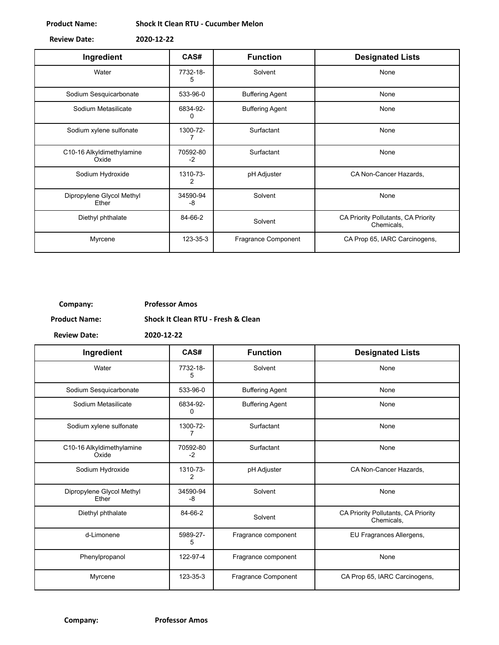#### **Product Name: Shock It Clean RTU - Cucumber Melon**

| <b>Review Date:</b> | 2020-12-22 |
|---------------------|------------|

| Ingredient                         | CAS#             | <b>Function</b>        | <b>Designated Lists</b>                           |
|------------------------------------|------------------|------------------------|---------------------------------------------------|
| Water                              | 7732-18-<br>5    | Solvent                | None                                              |
| Sodium Sesquicarbonate             | 533-96-0         | <b>Buffering Agent</b> | None                                              |
| Sodium Metasilicate                | 6834-92-<br>0    | <b>Buffering Agent</b> | None                                              |
| Sodium xylene sulfonate            | 1300-72-         | Surfactant             | None                                              |
| C10-16 Alkyldimethylamine<br>Oxide | 70592-80<br>$-2$ | Surfactant             | None                                              |
| Sodium Hydroxide                   | 1310-73-<br>2    | pH Adjuster            | CA Non-Cancer Hazards,                            |
| Dipropylene Glycol Methyl<br>Ether | 34590-94<br>-8   | Solvent                | None                                              |
| Diethyl phthalate                  | 84-66-2          | Solvent                | CA Priority Pollutants, CA Priority<br>Chemicals, |
| Myrcene                            | 123-35-3         | Fragrance Component    | CA Prop 65, IARC Carcinogens,                     |

## **Company: Professor Amos**

**Product Name: Shock It Clean RTU - Fresh & Clean**

| Ingredient                         | CAS#             | <b>Function</b>        | <b>Designated Lists</b>                           |
|------------------------------------|------------------|------------------------|---------------------------------------------------|
| Water                              | 7732-18-<br>5    | Solvent                | None                                              |
| Sodium Sesquicarbonate             | 533-96-0         | <b>Buffering Agent</b> | None                                              |
| Sodium Metasilicate                | 6834-92-<br>0    | <b>Buffering Agent</b> | None                                              |
| Sodium xylene sulfonate            | 1300-72-         | Surfactant             | None                                              |
| C10-16 Alkyldimethylamine<br>Oxide | 70592-80<br>$-2$ | Surfactant             | None                                              |
| Sodium Hydroxide                   | 1310-73-<br>2    | pH Adjuster            | CA Non-Cancer Hazards,                            |
| Dipropylene Glycol Methyl<br>Ether | 34590-94<br>-8   | Solvent                | None                                              |
| Diethyl phthalate                  | 84-66-2          | Solvent                | CA Priority Pollutants, CA Priority<br>Chemicals, |
| d-Limonene                         | 5989-27-<br>5    | Fragrance component    | EU Fragrances Allergens,                          |
| Phenylpropanol                     | 122-97-4         | Fragrance component    | None                                              |
| Myrcene                            | 123-35-3         | Fragrance Component    | CA Prop 65, IARC Carcinogens,                     |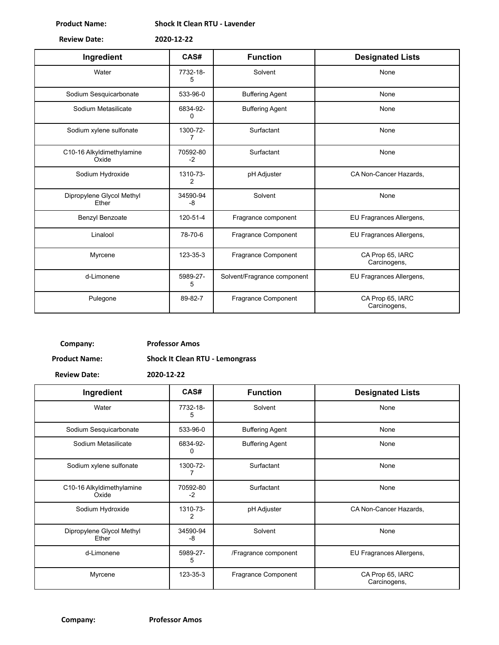**Product Name: Shock It Clean RTU - Lavender**

**Review Date: 2020-12-22**

| Ingredient                         | CAS#                       | <b>Function</b>             | <b>Designated Lists</b>          |
|------------------------------------|----------------------------|-----------------------------|----------------------------------|
| Water                              | 7732-18-<br>5              | Solvent                     | None                             |
| Sodium Sesquicarbonate             | 533-96-0                   | <b>Buffering Agent</b>      | None                             |
| Sodium Metasilicate                | 6834-92-<br>0              | <b>Buffering Agent</b>      | None                             |
| Sodium xylene sulfonate            | 1300-72-<br>7              | Surfactant                  | None                             |
| C10-16 Alkyldimethylamine<br>Oxide | 70592-80<br>$-2$           | Surfactant                  | None                             |
| Sodium Hydroxide                   | 1310-73-<br>$\overline{2}$ | pH Adjuster                 | CA Non-Cancer Hazards,           |
| Dipropylene Glycol Methyl<br>Ether | 34590-94<br>-8             | Solvent                     | None                             |
| Benzyl Benzoate                    | 120-51-4                   | Fragrance component         | EU Fragrances Allergens,         |
| Linalool                           | 78-70-6                    | Fragrance Component         | EU Fragrances Allergens,         |
| Myrcene                            | 123-35-3                   | Fragrance Component         | CA Prop 65, IARC<br>Carcinogens, |
| d-Limonene                         | 5989-27-<br>5              | Solvent/Fragrance component | EU Fragrances Allergens,         |
| Pulegone                           | 89-82-7                    | Fragrance Component         | CA Prop 65, IARC<br>Carcinogens, |

**Company: Professor Amos**

**Product Name: Shock It Clean RTU - Lemongrass**

| Ingredient                         | CAS#             | <b>Function</b>        | <b>Designated Lists</b>          |
|------------------------------------|------------------|------------------------|----------------------------------|
| Water                              | 7732-18-<br>5    | Solvent                | None                             |
| Sodium Sesquicarbonate             | 533-96-0         | <b>Buffering Agent</b> | None                             |
| Sodium Metasilicate                | 6834-92-<br>0    | <b>Buffering Agent</b> | None                             |
| Sodium xylene sulfonate            | 1300-72-         | Surfactant             | None                             |
| C10-16 Alkyldimethylamine<br>Oxide | 70592-80<br>$-2$ | Surfactant             | None                             |
| Sodium Hydroxide                   | 1310-73-<br>2    | pH Adjuster            | CA Non-Cancer Hazards,           |
| Dipropylene Glycol Methyl<br>Ether | 34590-94<br>-8   | Solvent                | None                             |
| d-Limonene                         | 5989-27-<br>5    | /Fragrance component   | EU Fragrances Allergens,         |
| Myrcene                            | 123-35-3         | Fragrance Component    | CA Prop 65, IARC<br>Carcinogens, |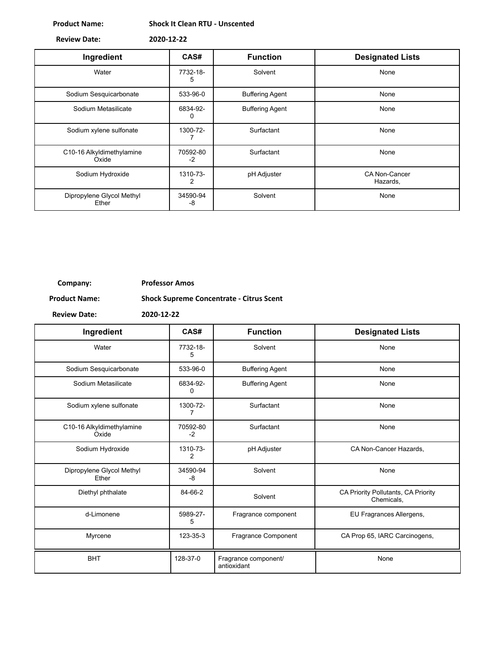**Product Name: Shock It Clean RTU - Unscented**

**Review Date: 2020-12-22**

| Ingredient                         | CAS#           | <b>Function</b>        | <b>Designated Lists</b>          |
|------------------------------------|----------------|------------------------|----------------------------------|
| Water                              | 7732-18-<br>5  | Solvent                | None                             |
| Sodium Sesquicarbonate             | 533-96-0       | <b>Buffering Agent</b> | None                             |
| Sodium Metasilicate                | 6834-92-<br>0  | <b>Buffering Agent</b> | None                             |
| Sodium xylene sulfonate            | 1300-72-       | Surfactant             | None                             |
| C10-16 Alkyldimethylamine<br>Oxide | 70592-80<br>-2 | Surfactant             | None                             |
| Sodium Hydroxide                   | 1310-73-<br>2  | pH Adjuster            | <b>CA Non-Cancer</b><br>Hazards, |
| Dipropylene Glycol Methyl<br>Ether | 34590-94<br>-8 | Solvent                | None                             |

## **Company: Professor Amos**

**Product Name: Shock Supreme Concentrate - Citrus Scent**

 $\overline{\phantom{a}}$ 

| Ingredient                         | CAS#             | <b>Function</b>                     | <b>Designated Lists</b>                           |
|------------------------------------|------------------|-------------------------------------|---------------------------------------------------|
| Water                              | 7732-18-<br>5    | Solvent                             | None                                              |
| Sodium Sesquicarbonate             | 533-96-0         | <b>Buffering Agent</b>              | None                                              |
| Sodium Metasilicate                | 6834-92-<br>0    | <b>Buffering Agent</b>              | None                                              |
| Sodium xylene sulfonate            | 1300-72-<br>7    | Surfactant                          | None                                              |
| C10-16 Alkyldimethylamine<br>Oxide | 70592-80<br>$-2$ | Surfactant                          | None                                              |
| Sodium Hydroxide                   | 1310-73-<br>2    | pH Adjuster                         | CA Non-Cancer Hazards,                            |
| Dipropylene Glycol Methyl<br>Ether | 34590-94<br>-8   | Solvent                             | None                                              |
| Diethyl phthalate                  | 84-66-2          | Solvent                             | CA Priority Pollutants, CA Priority<br>Chemicals, |
| d-Limonene                         | 5989-27-<br>5    | Fragrance component                 | EU Fragrances Allergens,                          |
| Myrcene                            | 123-35-3         | Fragrance Component                 | CA Prop 65, IARC Carcinogens,                     |
| <b>BHT</b>                         | 128-37-0         | Fragrance component/<br>antioxidant | None                                              |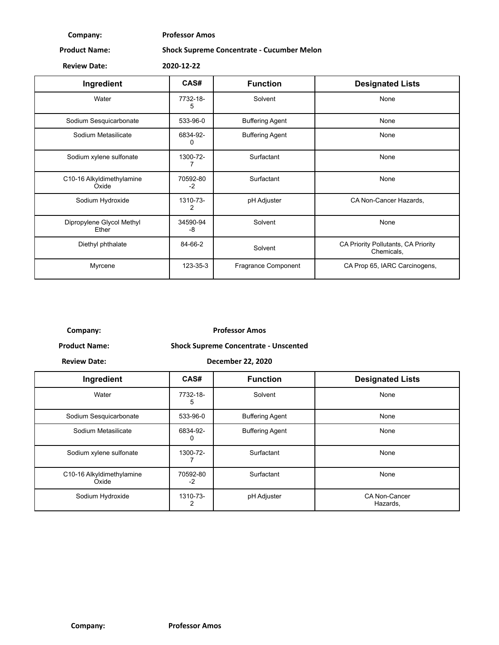**Company: Professor Amos**

**Product Name: Shock Supreme Concentrate - Cucumber Melon**

**Review Date: 2020-12-22**

| Ingredient                         | CAS#           | <b>Function</b>        | <b>Designated Lists</b>                           |
|------------------------------------|----------------|------------------------|---------------------------------------------------|
| Water                              | 7732-18-<br>5  | Solvent                | None                                              |
| Sodium Sesquicarbonate             | 533-96-0       | <b>Buffering Agent</b> | None                                              |
| Sodium Metasilicate                | 6834-92-<br>0  | <b>Buffering Agent</b> | None                                              |
| Sodium xylene sulfonate            | 1300-72-       | Surfactant             | None                                              |
| C10-16 Alkyldimethylamine<br>Oxide | 70592-80<br>-2 | Surfactant             | None                                              |
| Sodium Hydroxide                   | 1310-73-<br>2  | pH Adjuster            | CA Non-Cancer Hazards,                            |
| Dipropylene Glycol Methyl<br>Ether | 34590-94<br>-8 | Solvent                | None                                              |
| Diethyl phthalate                  | 84-66-2        | Solvent                | CA Priority Pollutants, CA Priority<br>Chemicals, |
| Myrcene                            | 123-35-3       | Fragrance Component    | CA Prop 65, IARC Carcinogens,                     |

**Company: Professor Amos**

**Product Name: Shock Supreme Concentrate - Unscented**

**Review Date: December 22, 2020**

| Ingredient                         | CAS#             | <b>Function</b>        | <b>Designated Lists</b>   |
|------------------------------------|------------------|------------------------|---------------------------|
| Water                              | 7732-18-<br>5    | Solvent                | None                      |
| Sodium Sesquicarbonate             | 533-96-0         | <b>Buffering Agent</b> | None                      |
| Sodium Metasilicate                | 6834-92-<br>0    | <b>Buffering Agent</b> | None                      |
| Sodium xylene sulfonate            | 1300-72-         | Surfactant             | None                      |
| C10-16 Alkyldimethylamine<br>Oxide | 70592-80<br>$-2$ | Surfactant             | None                      |
| Sodium Hydroxide                   | 1310-73-<br>2    | pH Adjuster            | CA Non-Cancer<br>Hazards, |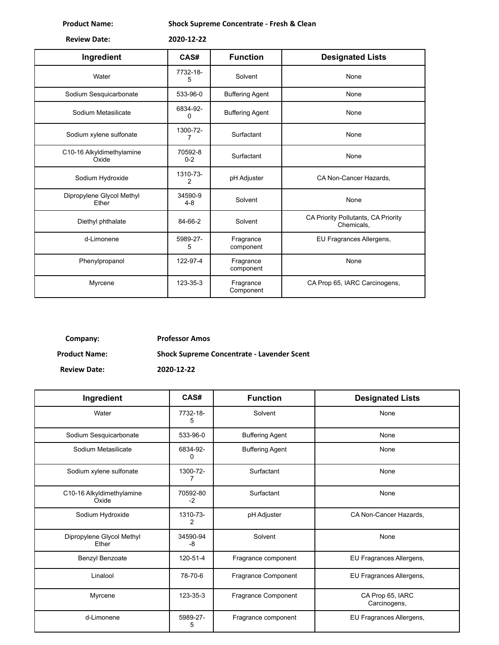**Product Name: Shock Supreme Concentrate - Fresh & Clean**

| <b>Review Date:</b> | 2020-12-22 |
|---------------------|------------|
|                     |            |

| Ingredient                         | CAS#                 | <b>Function</b>        | <b>Designated Lists</b>                           |
|------------------------------------|----------------------|------------------------|---------------------------------------------------|
| Water                              | 7732-18-<br>5        | Solvent                | None                                              |
| Sodium Sesquicarbonate             | 533-96-0             | <b>Buffering Agent</b> | None                                              |
| Sodium Metasilicate                | 6834-92-<br>$\Omega$ | <b>Buffering Agent</b> | None                                              |
| Sodium xylene sulfonate            | 1300-72-<br>7        | Surfactant             | None                                              |
| C10-16 Alkyldimethylamine<br>Oxide | 70592-8<br>$0 - 2$   | Surfactant             | None                                              |
| Sodium Hydroxide                   | 1310-73-<br>2        | pH Adjuster            | CA Non-Cancer Hazards,                            |
| Dipropylene Glycol Methyl<br>Ether | 34590-9<br>$4 - 8$   | Solvent                | None                                              |
| Diethyl phthalate                  | 84-66-2              | Solvent                | CA Priority Pollutants, CA Priority<br>Chemicals. |
| d-Limonene                         | 5989-27-<br>5        | Fragrance<br>component | EU Fragrances Allergens,                          |
| Phenylpropanol                     | 122-97-4             | Fragrance<br>component | None                                              |
| Myrcene                            | 123-35-3             | Fragrance<br>Component | CA Prop 65, IARC Carcinogens,                     |

**Company: Professor Amos**

**Product Name: Shock Supreme Concentrate - Lavender Scent**

| Ingredient                         | CAS#             | <b>Function</b>        | <b>Designated Lists</b>          |  |
|------------------------------------|------------------|------------------------|----------------------------------|--|
| Water                              | 7732-18-<br>5    | Solvent                | None                             |  |
| Sodium Sesquicarbonate             | 533-96-0         | <b>Buffering Agent</b> | None                             |  |
| Sodium Metasilicate                | 6834-92-<br>0    | <b>Buffering Agent</b> | None                             |  |
| Sodium xylene sulfonate            | 1300-72-<br>7    | Surfactant             | None                             |  |
| C10-16 Alkyldimethylamine<br>Oxide | 70592-80<br>$-2$ | Surfactant             | None                             |  |
| Sodium Hydroxide                   | 1310-73-<br>2    | pH Adjuster            | CA Non-Cancer Hazards,           |  |
| Dipropylene Glycol Methyl<br>Ether | 34590-94<br>-8   | Solvent                | None                             |  |
| Benzyl Benzoate                    | 120-51-4         | Fragrance component    | EU Fragrances Allergens,         |  |
| Linalool                           | 78-70-6          | Fragrance Component    | EU Fragrances Allergens,         |  |
| Myrcene                            | 123-35-3         | Fragrance Component    | CA Prop 65, IARC<br>Carcinogens, |  |
| d-Limonene                         | 5989-27-<br>5    | Fragrance component    | EU Fragrances Allergens,         |  |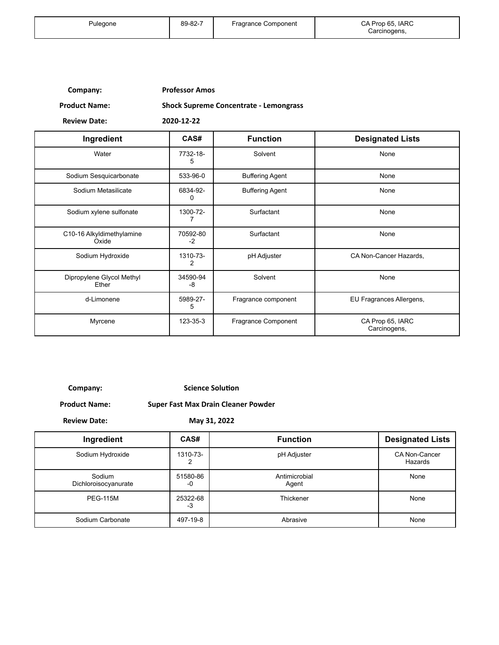| Company: | <b>Professor Amos</b> |
|----------|-----------------------|
|----------|-----------------------|

**Product Name: Shock Supreme Concentrate - Lemongrass**

**Review Date: 2020-12-22**

| Ingredient                         | CAS#             | <b>Function</b>        | <b>Designated Lists</b>          |
|------------------------------------|------------------|------------------------|----------------------------------|
| Water                              | 7732-18-<br>5    | Solvent                | None                             |
| Sodium Sesquicarbonate             | 533-96-0         | <b>Buffering Agent</b> | None                             |
| Sodium Metasilicate                | 6834-92-<br>0    | <b>Buffering Agent</b> | None                             |
| Sodium xylene sulfonate            | 1300-72-         | Surfactant             | None                             |
| C10-16 Alkyldimethylamine<br>Oxide | 70592-80<br>$-2$ | Surfactant             | None                             |
| Sodium Hydroxide                   | 1310-73-<br>2    | pH Adjuster            | CA Non-Cancer Hazards,           |
| Dipropylene Glycol Methyl<br>Ether | 34590-94<br>-8   | Solvent                | None                             |
| d-Limonene                         | 5989-27-<br>5    | Fragrance component    | EU Fragrances Allergens,         |
| Myrcene                            | 123-35-3         | Fragrance Component    | CA Prop 65, IARC<br>Carcinogens, |

**Company: Science Solution** 

**Product Name: Super Fast Max Drain Cleaner Powder**

**Review Date: May 31, 2022**

| Ingredient                     | CAS#           | <b>Function</b>        | <b>Designated Lists</b>         |
|--------------------------------|----------------|------------------------|---------------------------------|
| Sodium Hydroxide               | 1310-73-       | pH Adjuster            | <b>CA Non-Cancer</b><br>Hazards |
| Sodium<br>Dichloroisocyanurate | 51580-86<br>-0 | Antimicrobial<br>Agent | None                            |
| <b>PEG-115M</b>                | 25322-68<br>-3 | Thickener              | None                            |
| Sodium Carbonate               | 497-19-8       | Abrasive               | None                            |